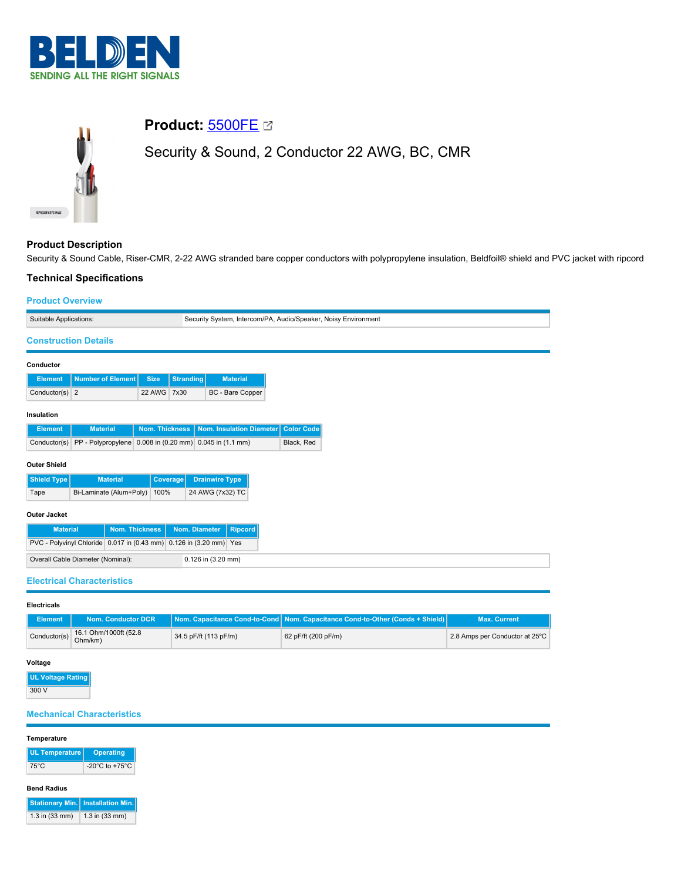



# **Product:** [5500FE](https://catalog.belden.com/index.cfm?event=pd&p=PF_5500FE&tab=downloads)

Security & Sound, 2 Conductor 22 AWG, BC, CMR

# **Product Description**

Security & Sound Cable, Riser-CMR, 2-22 AWG stranded bare copper conductors with polypropylene insulation, Beldfoil® shield and PVC jacket with ripcord

## **Technical Specifications**

### **Product Overview**

|                                                                                          | .                                                                  |                 |               |                                 |
|------------------------------------------------------------------------------------------|--------------------------------------------------------------------|-----------------|---------------|---------------------------------|
| Suitable Applications:<br>Security System, Intercom/PA, Audio/Speaker, Noisy Environment |                                                                    |                 |               |                                 |
|                                                                                          | <b>Construction Details</b>                                        |                 |               |                                 |
| Conductor                                                                                |                                                                    |                 |               |                                 |
| <b>Element</b>                                                                           | <b>Number of Element</b>                                           | <b>Size</b>     | Stranding     | <b>Material</b>                 |
| Conductor(s) $2$                                                                         |                                                                    | 22 AWG          | 7x30          | BC - Bare Copper                |
| Insulation                                                                               |                                                                    |                 |               |                                 |
| <b>Element</b>                                                                           | <b>Material</b>                                                    | Nom. Thickness  |               | <b>Nom. Insulation Diameter</b> |
| Conductor(s)                                                                             | PP - Polypropylene 0.008 in (0.20 mm) 0.045 in (1.1 mm)            |                 |               |                                 |
| <b>Outer Shield</b>                                                                      |                                                                    |                 |               |                                 |
| <b>Shield Type</b>                                                                       | <b>Material</b>                                                    | <b>Coverage</b> |               | <b>Drainwire Type</b>           |
| Tape                                                                                     | Bi-Laminate (Alum+Poly)                                            | 100%            |               | 24 AWG (7x32) TC                |
| <b>Outer Jacket</b>                                                                      |                                                                    |                 |               |                                 |
| <b>Material</b>                                                                          | <b>Nom. Thickness</b>                                              |                 | Nom. Diameter | <b>Ripcord</b>                  |
|                                                                                          | PVC - Polyvinyl Chloride 0.017 in (0.43 mm) 0.126 in (3.20 mm) Yes |                 |               |                                 |
|                                                                                          | Overall Cable Diameter (Nominal):                                  |                 |               | 0.126 in (3.20 mm)              |
|                                                                                          | <b>Electrical Characteristics</b>                                  |                 |               |                                 |

#### **Electricals**

| <b>Element</b> | Nom. Conductor DCR               |                       | Nom. Capacitance Cond-to-Cond   Nom. Capacitance Cond-to-Other (Conds + Shield) | <b>Max. Current</b>            |
|----------------|----------------------------------|-----------------------|---------------------------------------------------------------------------------|--------------------------------|
| Conductor(s)   | 16.1 Ohm/1000ft (52.8<br>Ohm/km) | 34.5 pF/ft (113 pF/m) | 62 pF/ft (200 pF/m)                                                             | 2.8 Amps per Conductor at 25°C |

### **Voltage**

| UL Voltage Rating |
|-------------------|
| 300 V             |

# **Mechanical Characteristics**

### **Temperature**

| UL Temperature | Operating                            |
|----------------|--------------------------------------|
| 75°C           | -20 $^{\circ}$ C to +75 $^{\circ}$ C |

# **Bend Radius**

|                | <b>Stationary Min.</b> Installation Min. |
|----------------|------------------------------------------|
| 1.3 in (33 mm) | 1.3 in (33 mm)                           |